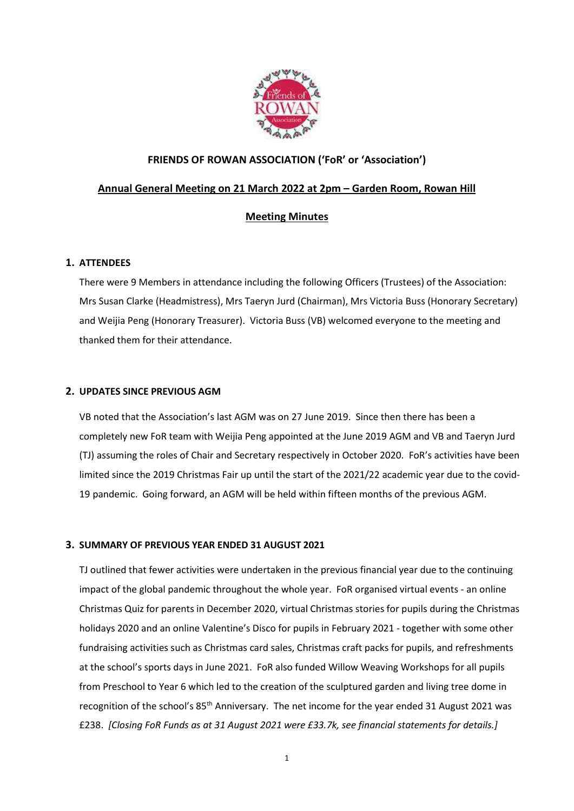

# FRIENDS OF ROWAN ASSOCIATION ('FoR' or 'Association')

# Annual General Meeting on 21 March 2022 at 2pm – Garden Room, Rowan Hill

# Meeting Minutes

# 1. ATTENDEES

There were 9 Members in attendance including the following Officers (Trustees) of the Association: Mrs Susan Clarke (Headmistress), Mrs Taeryn Jurd (Chairman), Mrs Victoria Buss (Honorary Secretary) and Weijia Peng (Honorary Treasurer). Victoria Buss (VB) welcomed everyone to the meeting and thanked them for their attendance.

# 2. UPDATES SINCE PREVIOUS AGM

VB noted that the Association's last AGM was on 27 June 2019. Since then there has been a completely new FoR team with Weijia Peng appointed at the June 2019 AGM and VB and Taeryn Jurd (TJ) assuming the roles of Chair and Secretary respectively in October 2020. FoR's activities have been limited since the 2019 Christmas Fair up until the start of the 2021/22 academic year due to the covid-19 pandemic. Going forward, an AGM will be held within fifteen months of the previous AGM.

# 3. SUMMARY OF PREVIOUS YEAR ENDED 31 AUGUST 2021

TJ outlined that fewer activities were undertaken in the previous financial year due to the continuing impact of the global pandemic throughout the whole year. FoR organised virtual events - an online Christmas Quiz for parents in December 2020, virtual Christmas stories for pupils during the Christmas holidays 2020 and an online Valentine's Disco for pupils in February 2021 - together with some other fundraising activities such as Christmas card sales, Christmas craft packs for pupils, and refreshments at the school's sports days in June 2021. FoR also funded Willow Weaving Workshops for all pupils from Preschool to Year 6 which led to the creation of the sculptured garden and living tree dome in recognition of the school's 85<sup>th</sup> Anniversary. The net income for the year ended 31 August 2021 was £238. [Closing FoR Funds as at 31 August 2021 were £33.7k, see financial statements for details.]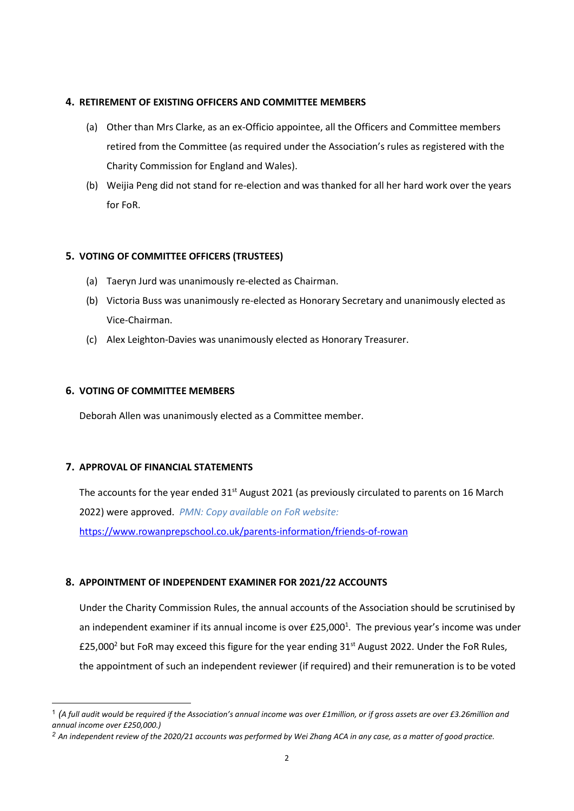# 4. RETIREMENT OF EXISTING OFFICERS AND COMMITTEE MEMBERS

- (a) Other than Mrs Clarke, as an ex-Officio appointee, all the Officers and Committee members retired from the Committee (as required under the Association's rules as registered with the Charity Commission for England and Wales).
- (b) Weijia Peng did not stand for re-election and was thanked for all her hard work over the years for FoR.

# 5. VOTING OF COMMITTEE OFFICERS (TRUSTEES)

- (a) Taeryn Jurd was unanimously re-elected as Chairman.
- (b) Victoria Buss was unanimously re-elected as Honorary Secretary and unanimously elected as Vice-Chairman.
- (c) Alex Leighton-Davies was unanimously elected as Honorary Treasurer.

# 6. VOTING OF COMMITTEE MEMBERS

Deborah Allen was unanimously elected as a Committee member.

# 7. APPROVAL OF FINANCIAL STATEMENTS

The accounts for the year ended 31<sup>st</sup> August 2021 (as previously circulated to parents on 16 March 2022) were approved. PMN: Copy available on FoR website: https://www.rowanprepschool.co.uk/parents-information/friends-of-rowan

# 8. APPOINTMENT OF INDEPENDENT EXAMINER FOR 2021/22 ACCOUNTS

Under the Charity Commission Rules, the annual accounts of the Association should be scrutinised by an independent examiner if its annual income is over  $£25,000<sup>1</sup>$ . The previous year's income was under £25,000<sup>2</sup> but FoR may exceed this figure for the year ending 31<sup>st</sup> August 2022. Under the FoR Rules, the appointment of such an independent reviewer (if required) and their remuneration is to be voted

 $^1$  (A full audit would be required if the Association's annual income was over £1million, or if gross assets are over £3.26million and annual income over £250,000.)

<sup>&</sup>lt;sup>2</sup> An independent review of the 2020/21 accounts was performed by Wei Zhang ACA in any case, as a matter of good practice.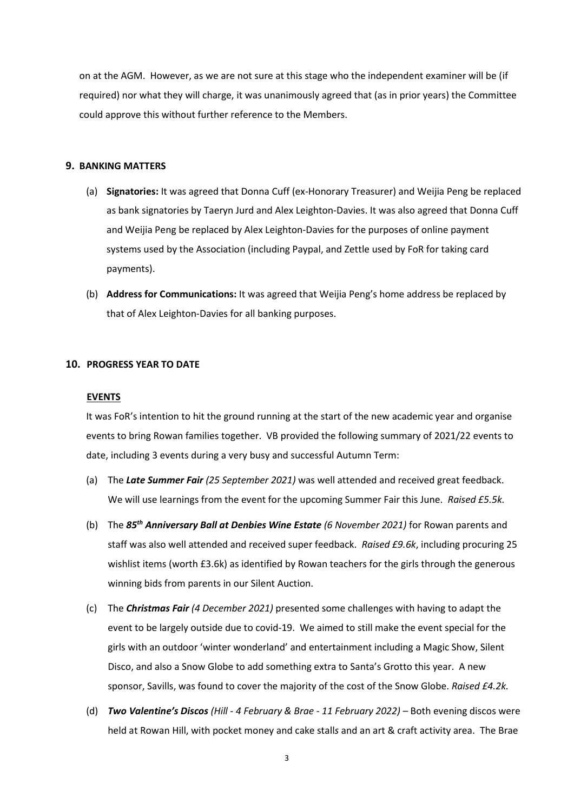on at the AGM. However, as we are not sure at this stage who the independent examiner will be (if required) nor what they will charge, it was unanimously agreed that (as in prior years) the Committee could approve this without further reference to the Members.

#### 9. BANKING MATTERS

- (a) Signatories: It was agreed that Donna Cuff (ex-Honorary Treasurer) and Weijia Peng be replaced as bank signatories by Taeryn Jurd and Alex Leighton-Davies. It was also agreed that Donna Cuff and Weijia Peng be replaced by Alex Leighton-Davies for the purposes of online payment systems used by the Association (including Paypal, and Zettle used by FoR for taking card payments).
- (b) Address for Communications: It was agreed that Weijia Peng's home address be replaced by that of Alex Leighton-Davies for all banking purposes.

#### 10. PROGRESS YEAR TO DATE

#### EVENTS

It was FoR's intention to hit the ground running at the start of the new academic year and organise events to bring Rowan families together. VB provided the following summary of 2021/22 events to date, including 3 events during a very busy and successful Autumn Term:

- (a) The Late Summer Fair (25 September 2021) was well attended and received great feedback. We will use learnings from the event for the upcoming Summer Fair this June. Raised £5.5k.
- (b) The  $85<sup>th</sup>$  Anniversary Ball at Denbies Wine Estate (6 November 2021) for Rowan parents and staff was also well attended and received super feedback. Raised £9.6k, including procuring 25 wishlist items (worth £3.6k) as identified by Rowan teachers for the girls through the generous winning bids from parents in our Silent Auction.
- (c) The Christmas Fair (4 December 2021) presented some challenges with having to adapt the event to be largely outside due to covid-19. We aimed to still make the event special for the girls with an outdoor 'winter wonderland' and entertainment including a Magic Show, Silent Disco, and also a Snow Globe to add something extra to Santa's Grotto this year. A new sponsor, Savills, was found to cover the majority of the cost of the Snow Globe. Raised £4.2k.
- (d) Two Valentine's Discos (Hill 4 February & Brae 11 February 2022) Both evening discos were held at Rowan Hill, with pocket money and cake stalls and an art & craft activity area. The Brae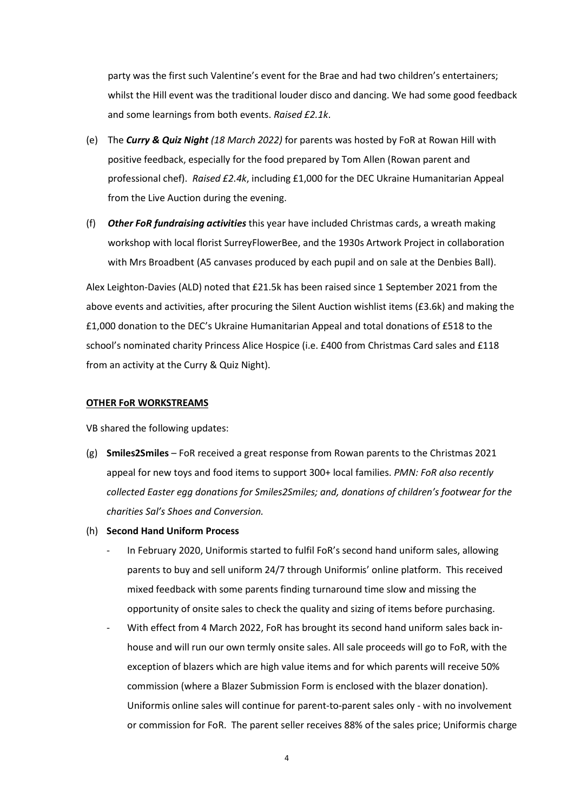party was the first such Valentine's event for the Brae and had two children's entertainers; whilst the Hill event was the traditional louder disco and dancing. We had some good feedback and some learnings from both events. Raised £2.1k.

- (e) The Curry & Quiz Night (18 March 2022) for parents was hosted by FoR at Rowan Hill with positive feedback, especially for the food prepared by Tom Allen (Rowan parent and professional chef). Raised £2.4k, including £1,000 for the DEC Ukraine Humanitarian Appeal from the Live Auction during the evening.
- (f) **Other FoR fundraising activities** this year have included Christmas cards, a wreath making workshop with local florist SurreyFlowerBee, and the 1930s Artwork Project in collaboration with Mrs Broadbent (A5 canvases produced by each pupil and on sale at the Denbies Ball).

Alex Leighton-Davies (ALD) noted that £21.5k has been raised since 1 September 2021 from the above events and activities, after procuring the Silent Auction wishlist items (£3.6k) and making the £1,000 donation to the DEC's Ukraine Humanitarian Appeal and total donations of £518 to the school's nominated charity Princess Alice Hospice (i.e. £400 from Christmas Card sales and £118 from an activity at the Curry & Quiz Night).

#### OTHER FoR WORKSTREAMS

VB shared the following updates:

- (g) Smiles2Smiles FoR received a great response from Rowan parents to the Christmas 2021 appeal for new toys and food items to support 300+ local families. PMN: FoR also recently collected Easter egg donations for Smiles2Smiles; and, donations of children's footwear for the charities Sal's Shoes and Conversion.
- (h) Second Hand Uniform Process
	- In February 2020, Uniformis started to fulfil FoR's second hand uniform sales, allowing parents to buy and sell uniform 24/7 through Uniformis' online platform. This received mixed feedback with some parents finding turnaround time slow and missing the opportunity of onsite sales to check the quality and sizing of items before purchasing.
	- With effect from 4 March 2022, FoR has brought its second hand uniform sales back inhouse and will run our own termly onsite sales. All sale proceeds will go to FoR, with the exception of blazers which are high value items and for which parents will receive 50% commission (where a Blazer Submission Form is enclosed with the blazer donation). Uniformis online sales will continue for parent-to-parent sales only - with no involvement or commission for FoR. The parent seller receives 88% of the sales price; Uniformis charge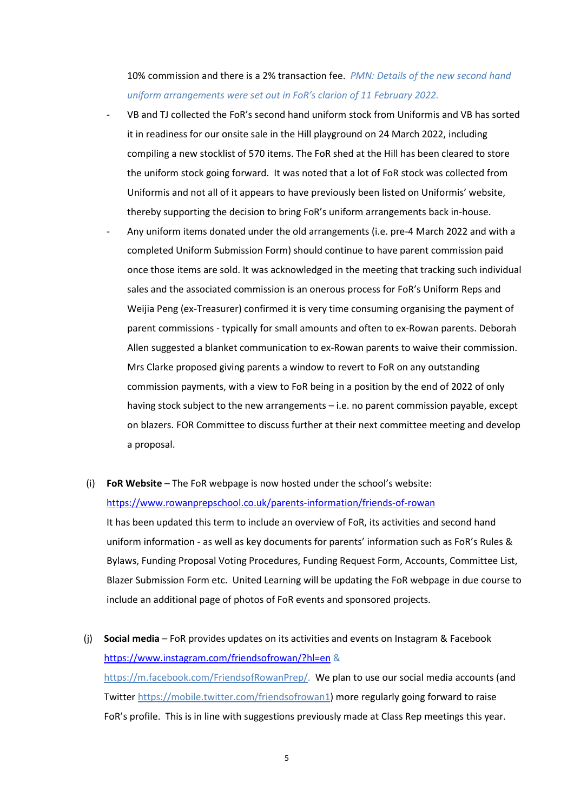10% commission and there is a 2% transaction fee. PMN: Details of the new second hand uniform arrangements were set out in FoR's clarion of 11 February 2022.

- VB and TJ collected the FoR's second hand uniform stock from Uniformis and VB has sorted it in readiness for our onsite sale in the Hill playground on 24 March 2022, including compiling a new stocklist of 570 items. The FoR shed at the Hill has been cleared to store the uniform stock going forward. It was noted that a lot of FoR stock was collected from Uniformis and not all of it appears to have previously been listed on Uniformis' website, thereby supporting the decision to bring FoR's uniform arrangements back in-house.
- Any uniform items donated under the old arrangements (i.e. pre-4 March 2022 and with a completed Uniform Submission Form) should continue to have parent commission paid once those items are sold. It was acknowledged in the meeting that tracking such individual sales and the associated commission is an onerous process for FoR's Uniform Reps and Weijia Peng (ex-Treasurer) confirmed it is very time consuming organising the payment of parent commissions - typically for small amounts and often to ex-Rowan parents. Deborah Allen suggested a blanket communication to ex-Rowan parents to waive their commission. Mrs Clarke proposed giving parents a window to revert to FoR on any outstanding commission payments, with a view to FoR being in a position by the end of 2022 of only having stock subject to the new arrangements – i.e. no parent commission payable, except on blazers. FOR Committee to discuss further at their next committee meeting and develop a proposal.

# (i) FoR Website – The FoR webpage is now hosted under the school's website: https://www.rowanprepschool.co.uk/parents-information/friends-of-rowan

It has been updated this term to include an overview of FoR, its activities and second hand uniform information - as well as key documents for parents' information such as FoR's Rules & Bylaws, Funding Proposal Voting Procedures, Funding Request Form, Accounts, Committee List, Blazer Submission Form etc. United Learning will be updating the FoR webpage in due course to include an additional page of photos of FoR events and sponsored projects.

(i) Social media – FoR provides updates on its activities and events on Instagram & Facebook https://www.instagram.com/friendsofrowan/?hl=en & https://m.facebook.com/FriendsofRowanPrep/. We plan to use our social media accounts (and Twitter https://mobile.twitter.com/friendsofrowan1) more regularly going forward to raise FoR's profile. This is in line with suggestions previously made at Class Rep meetings this year.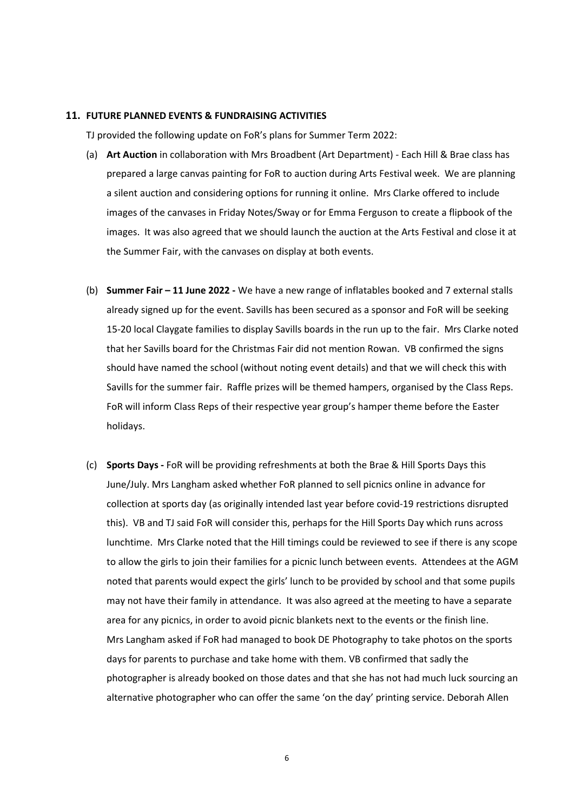#### 11. FUTURE PLANNED EVENTS & FUNDRAISING ACTIVITIES

TJ provided the following update on FoR's plans for Summer Term 2022:

- (a) Art Auction in collaboration with Mrs Broadbent (Art Department) Each Hill & Brae class has prepared a large canvas painting for FoR to auction during Arts Festival week. We are planning a silent auction and considering options for running it online. Mrs Clarke offered to include images of the canvases in Friday Notes/Sway or for Emma Ferguson to create a flipbook of the images. It was also agreed that we should launch the auction at the Arts Festival and close it at the Summer Fair, with the canvases on display at both events.
- (b) Summer Fair 11 June 2022 We have a new range of inflatables booked and 7 external stalls already signed up for the event. Savills has been secured as a sponsor and FoR will be seeking 15-20 local Claygate families to display Savills boards in the run up to the fair. Mrs Clarke noted that her Savills board for the Christmas Fair did not mention Rowan. VB confirmed the signs should have named the school (without noting event details) and that we will check this with Savills for the summer fair. Raffle prizes will be themed hampers, organised by the Class Reps. FoR will inform Class Reps of their respective year group's hamper theme before the Easter holidays.
- (c) Sports Days FoR will be providing refreshments at both the Brae & Hill Sports Days this June/July. Mrs Langham asked whether FoR planned to sell picnics online in advance for collection at sports day (as originally intended last year before covid-19 restrictions disrupted this). VB and TJ said FoR will consider this, perhaps for the Hill Sports Day which runs across lunchtime. Mrs Clarke noted that the Hill timings could be reviewed to see if there is any scope to allow the girls to join their families for a picnic lunch between events. Attendees at the AGM noted that parents would expect the girls' lunch to be provided by school and that some pupils may not have their family in attendance. It was also agreed at the meeting to have a separate area for any picnics, in order to avoid picnic blankets next to the events or the finish line. Mrs Langham asked if FoR had managed to book DE Photography to take photos on the sports days for parents to purchase and take home with them. VB confirmed that sadly the photographer is already booked on those dates and that she has not had much luck sourcing an alternative photographer who can offer the same 'on the day' printing service. Deborah Allen

6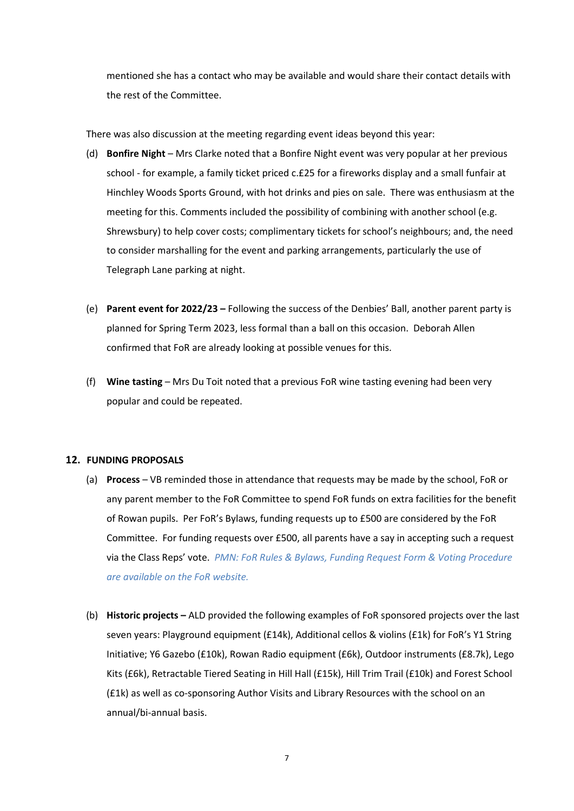mentioned she has a contact who may be available and would share their contact details with the rest of the Committee.

There was also discussion at the meeting regarding event ideas beyond this year:

- (d) Bonfire Night Mrs Clarke noted that a Bonfire Night event was very popular at her previous school - for example, a family ticket priced c.£25 for a fireworks display and a small funfair at Hinchley Woods Sports Ground, with hot drinks and pies on sale. There was enthusiasm at the meeting for this. Comments included the possibility of combining with another school (e.g. Shrewsbury) to help cover costs; complimentary tickets for school's neighbours; and, the need to consider marshalling for the event and parking arrangements, particularly the use of Telegraph Lane parking at night.
- (e) Parent event for 2022/23 Following the success of the Denbies' Ball, another parent party is planned for Spring Term 2023, less formal than a ball on this occasion. Deborah Allen confirmed that FoR are already looking at possible venues for this.
- (f) Wine tasting Mrs Du Toit noted that a previous FoR wine tasting evening had been very popular and could be repeated.

# 12. FUNDING PROPOSALS

- (a) Process VB reminded those in attendance that requests may be made by the school, FoR or any parent member to the FoR Committee to spend FoR funds on extra facilities for the benefit of Rowan pupils. Per FoR's Bylaws, funding requests up to £500 are considered by the FoR Committee. For funding requests over £500, all parents have a say in accepting such a request via the Class Reps' vote. PMN: FoR Rules & Bylaws, Funding Request Form & Voting Procedure are available on the FoR website.
- (b) Historic projects ALD provided the following examples of FoR sponsored projects over the last seven years: Playground equipment (£14k), Additional cellos & violins (£1k) for FoR's Y1 String Initiative; Y6 Gazebo (£10k), Rowan Radio equipment (£6k), Outdoor instruments (£8.7k), Lego Kits (£6k), Retractable Tiered Seating in Hill Hall (£15k), Hill Trim Trail (£10k) and Forest School (£1k) as well as co-sponsoring Author Visits and Library Resources with the school on an annual/bi-annual basis.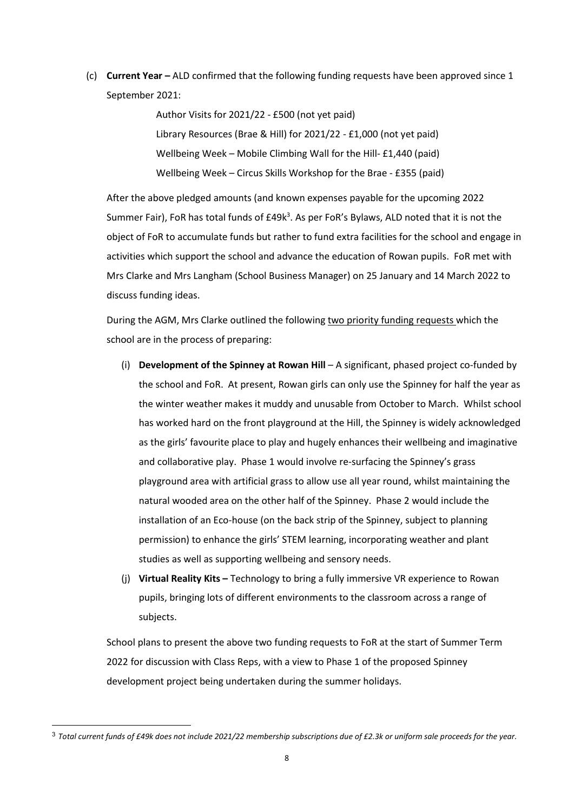(c) Current Year – ALD confirmed that the following funding requests have been approved since 1 September 2021:

> Author Visits for 2021/22 - £500 (not yet paid) Library Resources (Brae & Hill) for 2021/22 - £1,000 (not yet paid) Wellbeing Week – Mobile Climbing Wall for the Hill- £1,440 (paid) Wellbeing Week – Circus Skills Workshop for the Brae - £355 (paid)

After the above pledged amounts (and known expenses payable for the upcoming 2022 Summer Fair), FoR has total funds of £49k<sup>3</sup>. As per FoR's Bylaws, ALD noted that it is not the object of FoR to accumulate funds but rather to fund extra facilities for the school and engage in activities which support the school and advance the education of Rowan pupils. FoR met with Mrs Clarke and Mrs Langham (School Business Manager) on 25 January and 14 March 2022 to discuss funding ideas.

During the AGM, Mrs Clarke outlined the following two priority funding requests which the school are in the process of preparing:

- (i) Development of the Spinney at Rowan Hill A significant, phased project co-funded by the school and FoR. At present, Rowan girls can only use the Spinney for half the year as the winter weather makes it muddy and unusable from October to March. Whilst school has worked hard on the front playground at the Hill, the Spinney is widely acknowledged as the girls' favourite place to play and hugely enhances their wellbeing and imaginative and collaborative play. Phase 1 would involve re-surfacing the Spinney's grass playground area with artificial grass to allow use all year round, whilst maintaining the natural wooded area on the other half of the Spinney. Phase 2 would include the installation of an Eco-house (on the back strip of the Spinney, subject to planning permission) to enhance the girls' STEM learning, incorporating weather and plant studies as well as supporting wellbeing and sensory needs.
- (j) Virtual Reality Kits Technology to bring a fully immersive VR experience to Rowan pupils, bringing lots of different environments to the classroom across a range of subjects.

School plans to present the above two funding requests to FoR at the start of Summer Term 2022 for discussion with Class Reps, with a view to Phase 1 of the proposed Spinney development project being undertaken during the summer holidays.

 $3$  Total current funds of £49k does not include 2021/22 membership subscriptions due of £2.3k or uniform sale proceeds for the year.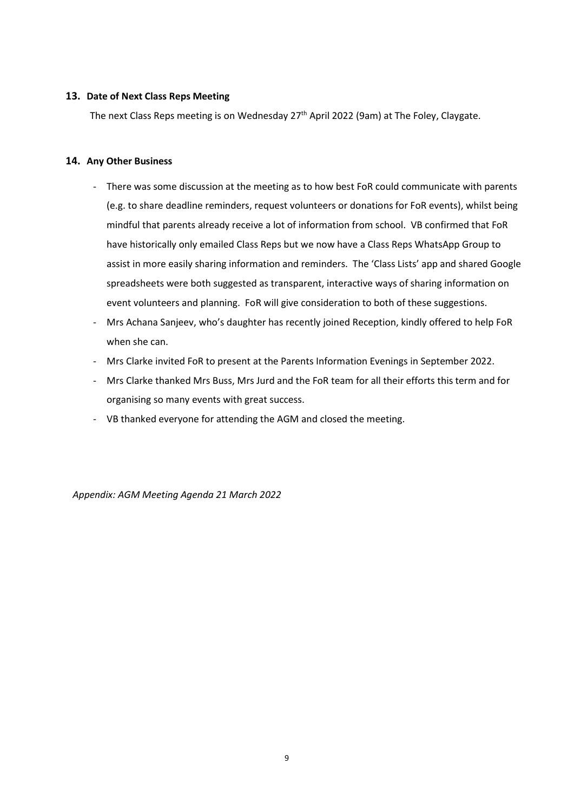# 13. Date of Next Class Reps Meeting

The next Class Reps meeting is on Wednesday 27<sup>th</sup> April 2022 (9am) at The Foley, Claygate.

#### 14. Any Other Business

- There was some discussion at the meeting as to how best FoR could communicate with parents (e.g. to share deadline reminders, request volunteers or donations for FoR events), whilst being mindful that parents already receive a lot of information from school. VB confirmed that FoR have historically only emailed Class Reps but we now have a Class Reps WhatsApp Group to assist in more easily sharing information and reminders. The 'Class Lists' app and shared Google spreadsheets were both suggested as transparent, interactive ways of sharing information on event volunteers and planning. FoR will give consideration to both of these suggestions.
- Mrs Achana Sanjeev, who's daughter has recently joined Reception, kindly offered to help FoR when she can.
- Mrs Clarke invited FoR to present at the Parents Information Evenings in September 2022.
- Mrs Clarke thanked Mrs Buss, Mrs Jurd and the FoR team for all their efforts this term and for organising so many events with great success.
- VB thanked everyone for attending the AGM and closed the meeting.

Appendix: AGM Meeting Agenda 21 March 2022